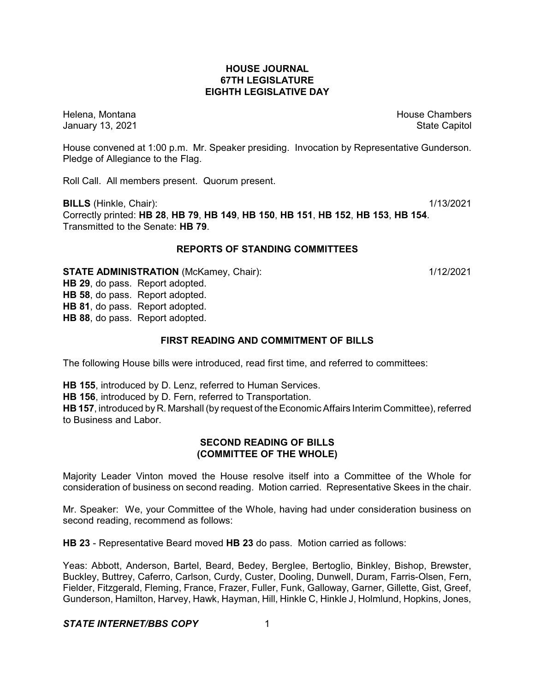## **HOUSE JOURNAL 67TH LEGISLATURE EIGHTH LEGISLATIVE DAY**

Helena, Montana House Chambers Chambers Chambers and House Chambers Chambers Chambers Chambers Chambers Chambers Chambers Chambers Chambers Chambers Chambers Chambers Chambers Chambers Chambers Chambers Chambers Chambers C January 13, 2021 **State Capitol** 

House convened at 1:00 p.m. Mr. Speaker presiding. Invocation by Representative Gunderson. Pledge of Allegiance to the Flag.

Roll Call. All members present. Quorum present.

**BILLS** (Hinkle, Chair): 1/13/2021 Correctly printed: **HB 28**, **HB 79**, **HB 149**, **HB 150**, **HB 151**, **HB 152**, **HB 153**, **HB 154**. Transmitted to the Senate: **HB 79**.

## **REPORTS OF STANDING COMMITTEES**

**STATE ADMINISTRATION** (McKamey, Chair): 1/12/2021

**HB 29**, do pass. Report adopted. **HB 58**, do pass. Report adopted. **HB 81**, do pass. Report adopted. **HB 88**, do pass. Report adopted.

# **FIRST READING AND COMMITMENT OF BILLS**

The following House bills were introduced, read first time, and referred to committees:

**HB 155**, introduced by D. Lenz, referred to Human Services. **HB 156**, introduced by D. Fern, referred to Transportation. **HB 157**, introduced by R. Marshall (by request of the Economic Affairs Interim Committee), referred to Business and Labor.

## **SECOND READING OF BILLS (COMMITTEE OF THE WHOLE)**

Majority Leader Vinton moved the House resolve itself into a Committee of the Whole for consideration of business on second reading. Motion carried. Representative Skees in the chair.

Mr. Speaker: We, your Committee of the Whole, having had under consideration business on second reading, recommend as follows:

**HB 23** - Representative Beard moved **HB 23** do pass. Motion carried as follows:

Yeas: Abbott, Anderson, Bartel, Beard, Bedey, Berglee, Bertoglio, Binkley, Bishop, Brewster, Buckley, Buttrey, Caferro, Carlson, Curdy, Custer, Dooling, Dunwell, Duram, Farris-Olsen, Fern, Fielder, Fitzgerald, Fleming, France, Frazer, Fuller, Funk, Galloway, Garner, Gillette, Gist, Greef, Gunderson, Hamilton, Harvey, Hawk, Hayman, Hill, Hinkle C, Hinkle J, Holmlund, Hopkins, Jones,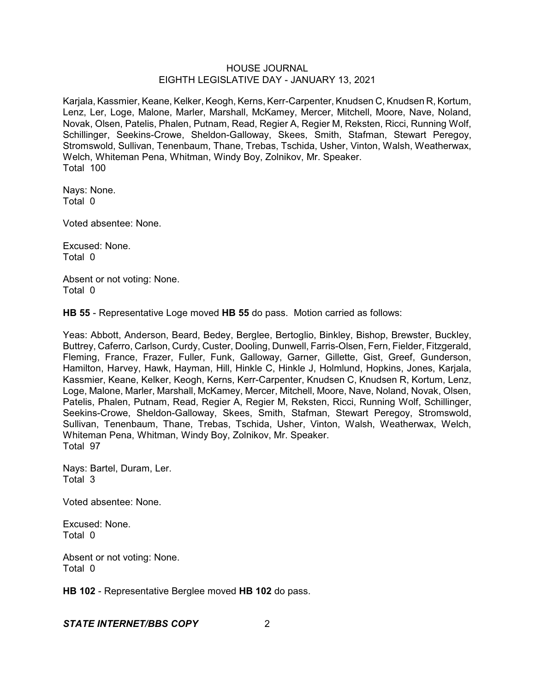Karjala, Kassmier, Keane, Kelker, Keogh, Kerns, Kerr-Carpenter, Knudsen C, Knudsen R, Kortum, Lenz, Ler, Loge, Malone, Marler, Marshall, McKamey, Mercer, Mitchell, Moore, Nave, Noland, Novak, Olsen, Patelis, Phalen, Putnam, Read, Regier A, Regier M, Reksten, Ricci, Running Wolf, Schillinger, Seekins-Crowe, Sheldon-Galloway, Skees, Smith, Stafman, Stewart Peregoy, Stromswold, Sullivan, Tenenbaum, Thane, Trebas, Tschida, Usher, Vinton, Walsh, Weatherwax, Welch, Whiteman Pena, Whitman, Windy Boy, Zolnikov, Mr. Speaker. Total 100

Nays: None. Total 0

Voted absentee: None.

Excused: None. Total 0

Absent or not voting: None. Total 0

**HB 55** - Representative Loge moved **HB 55** do pass. Motion carried as follows:

Yeas: Abbott, Anderson, Beard, Bedey, Berglee, Bertoglio, Binkley, Bishop, Brewster, Buckley, Buttrey, Caferro, Carlson, Curdy, Custer, Dooling, Dunwell, Farris-Olsen, Fern, Fielder, Fitzgerald, Fleming, France, Frazer, Fuller, Funk, Galloway, Garner, Gillette, Gist, Greef, Gunderson, Hamilton, Harvey, Hawk, Hayman, Hill, Hinkle C, Hinkle J, Holmlund, Hopkins, Jones, Karjala, Kassmier, Keane, Kelker, Keogh, Kerns, Kerr-Carpenter, Knudsen C, Knudsen R, Kortum, Lenz, Loge, Malone, Marler, Marshall, McKamey, Mercer, Mitchell, Moore, Nave, Noland, Novak, Olsen, Patelis, Phalen, Putnam, Read, Regier A, Regier M, Reksten, Ricci, Running Wolf, Schillinger, Seekins-Crowe, Sheldon-Galloway, Skees, Smith, Stafman, Stewart Peregoy, Stromswold, Sullivan, Tenenbaum, Thane, Trebas, Tschida, Usher, Vinton, Walsh, Weatherwax, Welch, Whiteman Pena, Whitman, Windy Boy, Zolnikov, Mr. Speaker. Total 97

Nays: Bartel, Duram, Ler. Total 3

Voted absentee: None.

Excused: None. Total 0

Absent or not voting: None. Total 0

**HB 102** - Representative Berglee moved **HB 102** do pass.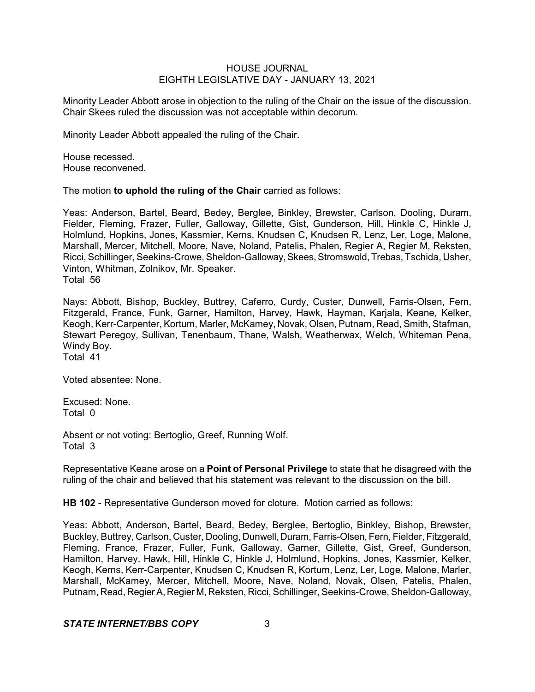Minority Leader Abbott arose in objection to the ruling of the Chair on the issue of the discussion. Chair Skees ruled the discussion was not acceptable within decorum.

Minority Leader Abbott appealed the ruling of the Chair.

House recessed. House reconvened.

The motion **to uphold the ruling of the Chair** carried as follows:

Yeas: Anderson, Bartel, Beard, Bedey, Berglee, Binkley, Brewster, Carlson, Dooling, Duram, Fielder, Fleming, Frazer, Fuller, Galloway, Gillette, Gist, Gunderson, Hill, Hinkle C, Hinkle J, Holmlund, Hopkins, Jones, Kassmier, Kerns, Knudsen C, Knudsen R, Lenz, Ler, Loge, Malone, Marshall, Mercer, Mitchell, Moore, Nave, Noland, Patelis, Phalen, Regier A, Regier M, Reksten, Ricci, Schillinger, Seekins-Crowe, Sheldon-Galloway, Skees, Stromswold, Trebas, Tschida, Usher, Vinton, Whitman, Zolnikov, Mr. Speaker. Total 56

Nays: Abbott, Bishop, Buckley, Buttrey, Caferro, Curdy, Custer, Dunwell, Farris-Olsen, Fern, Fitzgerald, France, Funk, Garner, Hamilton, Harvey, Hawk, Hayman, Karjala, Keane, Kelker, Keogh, Kerr-Carpenter, Kortum, Marler, McKamey, Novak, Olsen, Putnam, Read, Smith, Stafman, Stewart Peregoy, Sullivan, Tenenbaum, Thane, Walsh, Weatherwax, Welch, Whiteman Pena, Windy Boy. Total 41

Voted absentee: None.

Excused: None. Total 0

Absent or not voting: Bertoglio, Greef, Running Wolf. Total 3

Representative Keane arose on a **Point of Personal Privilege** to state that he disagreed with the ruling of the chair and believed that his statement was relevant to the discussion on the bill.

**HB 102** - Representative Gunderson moved for cloture. Motion carried as follows:

Yeas: Abbott, Anderson, Bartel, Beard, Bedey, Berglee, Bertoglio, Binkley, Bishop, Brewster, Buckley, Buttrey, Carlson, Custer, Dooling, Dunwell, Duram, Farris-Olsen, Fern, Fielder, Fitzgerald, Fleming, France, Frazer, Fuller, Funk, Galloway, Garner, Gillette, Gist, Greef, Gunderson, Hamilton, Harvey, Hawk, Hill, Hinkle C, Hinkle J, Holmlund, Hopkins, Jones, Kassmier, Kelker, Keogh, Kerns, Kerr-Carpenter, Knudsen C, Knudsen R, Kortum, Lenz, Ler, Loge, Malone, Marler, Marshall, McKamey, Mercer, Mitchell, Moore, Nave, Noland, Novak, Olsen, Patelis, Phalen, Putnam, Read, RegierA, Regier M, Reksten, Ricci, Schillinger, Seekins-Crowe, Sheldon-Galloway,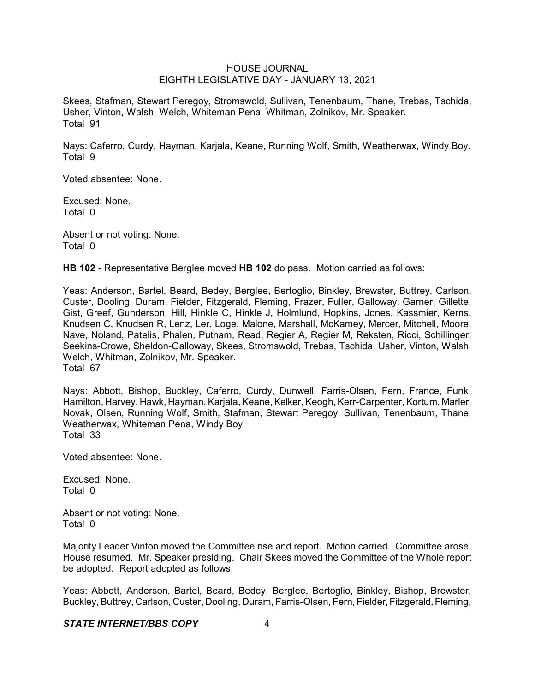Skees, Stafman, Stewart Peregoy, Stromswold, Sullivan, Tenenbaum, Thane, Trebas, Tschida, Usher, Vinton, Walsh, Welch, Whiteman Pena, Whitman, Zolnikov, Mr. Speaker. Total 91

Nays: Caferro, Curdy, Hayman, Karjala, Keane, Running Wolf, Smith, Weatherwax, Windy Boy. Total 9

Voted absentee: None.

Excused: None. Total 0

Absent or not voting: None. Total 0

**HB 102** - Representative Berglee moved **HB 102** do pass. Motion carried as follows:

Yeas: Anderson, Bartel, Beard, Bedey, Berglee, Bertoglio, Binkley, Brewster, Buttrey, Carlson, Custer, Dooling, Duram, Fielder, Fitzgerald, Fleming, Frazer, Fuller, Galloway, Garner, Gillette, Gist, Greef, Gunderson, Hill, Hinkle C, Hinkle J, Holmlund, Hopkins, Jones, Kassmier, Kerns, Knudsen C, Knudsen R, Lenz, Ler, Loge, Malone, Marshall, McKamey, Mercer, Mitchell, Moore, Nave, Noland, Patelis, Phalen, Putnam, Read, Regier A, Regier M, Reksten, Ricci, Schillinger, Seekins-Crowe, Sheldon-Galloway, Skees, Stromswold, Trebas, Tschida, Usher, Vinton, Walsh, Welch, Whitman, Zolnikov, Mr. Speaker. Total 67

Nays: Abbott, Bishop, Buckley, Caferro, Curdy, Dunwell, Farris-Olsen, Fern, France, Funk, Hamilton, Harvey, Hawk, Hayman, Karjala, Keane, Kelker, Keogh, Kerr-Carpenter, Kortum, Marler, Novak, Olsen, Running Wolf, Smith, Stafman, Stewart Peregoy, Sullivan, Tenenbaum, Thane, Weatherwax, Whiteman Pena, Windy Boy. Total 33

Voted absentee: None.

Excused: None. Total 0

Absent or not voting: None. Total 0

Majority Leader Vinton moved the Committee rise and report. Motion carried. Committee arose. House resumed. Mr. Speaker presiding. Chair Skees moved the Committee of the Whole report be adopted. Report adopted as follows:

Yeas: Abbott, Anderson, Bartel, Beard, Bedey, Berglee, Bertoglio, Binkley, Bishop, Brewster, Buckley,Buttrey, Carlson, Custer, Dooling, Duram, Farris-Olsen, Fern, Fielder, Fitzgerald, Fleming,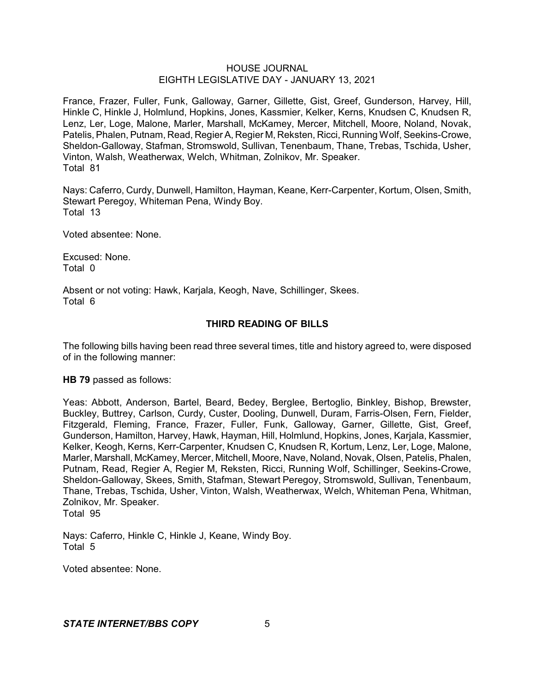France, Frazer, Fuller, Funk, Galloway, Garner, Gillette, Gist, Greef, Gunderson, Harvey, Hill, Hinkle C, Hinkle J, Holmlund, Hopkins, Jones, Kassmier, Kelker, Kerns, Knudsen C, Knudsen R, Lenz, Ler, Loge, Malone, Marler, Marshall, McKamey, Mercer, Mitchell, Moore, Noland, Novak, Patelis, Phalen, Putnam, Read, Regier A, Regier M, Reksten, Ricci, Running Wolf, Seekins-Crowe, Sheldon-Galloway, Stafman, Stromswold, Sullivan, Tenenbaum, Thane, Trebas, Tschida, Usher, Vinton, Walsh, Weatherwax, Welch, Whitman, Zolnikov, Mr. Speaker. Total 81

Nays: Caferro, Curdy, Dunwell, Hamilton, Hayman, Keane, Kerr-Carpenter, Kortum, Olsen, Smith, Stewart Peregoy, Whiteman Pena, Windy Boy. Total 13

Voted absentee: None.

Excused: None. Total 0

Absent or not voting: Hawk, Karjala, Keogh, Nave, Schillinger, Skees. Total 6

## **THIRD READING OF BILLS**

The following bills having been read three several times, title and history agreed to, were disposed of in the following manner:

**HB 79** passed as follows:

Yeas: Abbott, Anderson, Bartel, Beard, Bedey, Berglee, Bertoglio, Binkley, Bishop, Brewster, Buckley, Buttrey, Carlson, Curdy, Custer, Dooling, Dunwell, Duram, Farris-Olsen, Fern, Fielder, Fitzgerald, Fleming, France, Frazer, Fuller, Funk, Galloway, Garner, Gillette, Gist, Greef, Gunderson, Hamilton, Harvey, Hawk, Hayman, Hill, Holmlund, Hopkins, Jones, Karjala, Kassmier, Kelker, Keogh, Kerns, Kerr-Carpenter, Knudsen C, Knudsen R, Kortum, Lenz, Ler, Loge, Malone, Marler, Marshall, McKamey, Mercer, Mitchell, Moore, Nave, Noland, Novak, Olsen, Patelis, Phalen, Putnam, Read, Regier A, Regier M, Reksten, Ricci, Running Wolf, Schillinger, Seekins-Crowe, Sheldon-Galloway, Skees, Smith, Stafman, Stewart Peregoy, Stromswold, Sullivan, Tenenbaum, Thane, Trebas, Tschida, Usher, Vinton, Walsh, Weatherwax, Welch, Whiteman Pena, Whitman, Zolnikov, Mr. Speaker. Total 95

Nays: Caferro, Hinkle C, Hinkle J, Keane, Windy Boy. Total 5

Voted absentee: None.